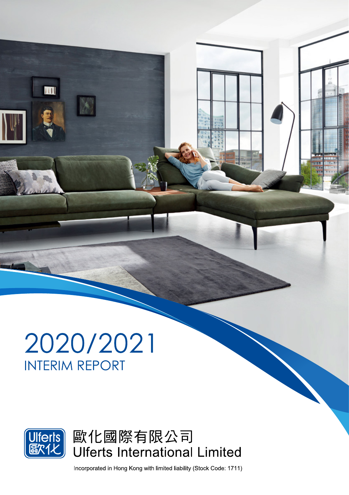# 2020/2021 **INTERIM REPORT**



III

歐化國際有限公司 **Ulferts International Limited** 

Incorporated in Hong Kong with limited liability (Stock Code: 1711)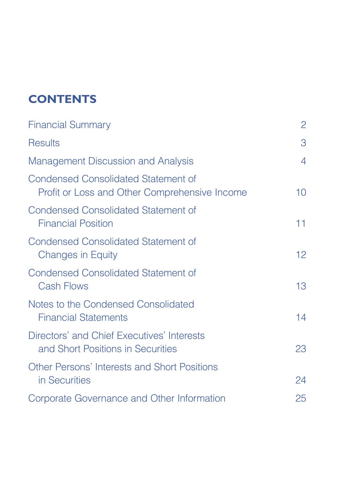# **CONTENTS**

| <b>Financial Summary</b>                                                                    | 2              |
|---------------------------------------------------------------------------------------------|----------------|
| <b>Results</b>                                                                              | 3              |
| <b>Management Discussion and Analysis</b>                                                   | $\overline{4}$ |
| <b>Condensed Consolidated Statement of</b><br>Profit or Loss and Other Comprehensive Income | 10             |
| <b>Condensed Consolidated Statement of</b><br><b>Financial Position</b>                     | 11             |
| <b>Condensed Consolidated Statement of</b><br><b>Changes in Equity</b>                      | 12             |
| <b>Condensed Consolidated Statement of</b><br><b>Cash Flows</b>                             | 13             |
| Notes to the Condensed Consolidated<br><b>Financial Statements</b>                          | 14             |
| Directors' and Chief Executives' Interests<br>and Short Positions in Securities             | 23             |
| <b>Other Persons' Interests and Short Positions</b><br>in Securities                        | 24             |
| Corporate Governance and Other Information                                                  | 25             |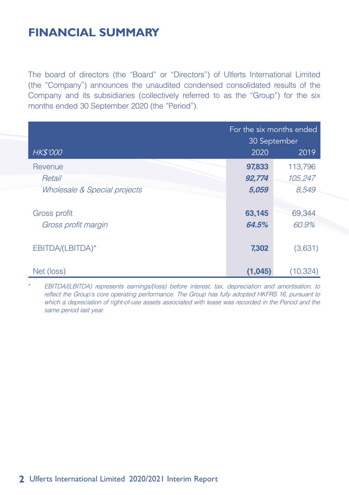### **FINANCIAL SUMMARY**

The board of directors (the "Board" or "Directors") of Ulferts International Limited (the "Company") announces the unaudited condensed consolidated results of the Company and its subsidiaries (collectively referred to as the "Group") for the six months ended 30 September 2020 (the "Period").

|                              |         | For the six months ended<br>30 September |  |
|------------------------------|---------|------------------------------------------|--|
| <b>HK\$'000</b>              | 2020    | 2019                                     |  |
| Revenue                      | 97,833  | 113,796                                  |  |
| Retail                       | 92,774  | 105,247                                  |  |
| Wholesale & Special projects | 5,059   | 8,549                                    |  |
|                              |         |                                          |  |
| Gross profit                 | 63,145  | 69,344                                   |  |
| Gross profit margin          | 64.5%   | 60.9%                                    |  |
|                              |         |                                          |  |
| EBITDA/(LBITDA)*             | 7,302   | (3,631)                                  |  |
|                              |         |                                          |  |
| Net (loss)                   | (1,045) | (10,324)                                 |  |

EBITDA/(LBITDA) represents earnings/(loss) before interest, tax, depreciation and amortisation, to reflect the Group's core operating performance. The Group has fully adopted HKFRS 16, pursuant to which a depreciation of right-of-use assets associated with lease was recorded in the Period and the same period last year.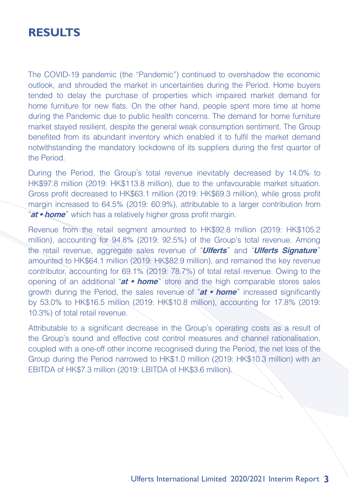### **RESULTS**

The COVID-19 pandemic (the "Pandemic") continued to overshadow the economic outlook, and shrouded the market in uncertainties during the Period. Home buyers tended to delay the purchase of properties which impaired market demand for home furniture for new flats. On the other hand, people spent more time at home during the Pandemic due to public health concerns. The demand for home furniture market stayed resilient, despite the general weak consumption sentiment. The Group benefited from its abundant inventory which enabled it to fulfil the market demand notwithstanding the mandatory lockdowns of its suppliers during the first quarter of the Period.

During the Period, the Group's total revenue inevitably decreased by 14.0% to HK\$97.8 million (2019: HK\$113.8 million), due to the unfavourable market situation. Gross profit decreased to HK\$63.1 million (2019: HK\$69.3 million), while gross profit margin increased to 64.5% (2019: 60.9%), attributable to a larger contribution from **"at • home**" which has a relatively higher gross profit margin.

Revenue from the retail segment amounted to HK\$92.8 million (2019: HK\$105.2 million), accounting for 94.8% (2019: 92.5%) of the Group's total revenue. Among the retail revenue, aggregate sales revenue of "**Ulferts**" and "**Ulferts Signature**" amounted to HK\$64.1 million (2019: HK\$82.9 million), and remained the key revenue contributor, accounting for 69.1% (2019: 78.7%) of total retail revenue. Owing to the opening of an additional "**at • home**" store and the high comparable stores sales growth during the Period, the sales revenue of "**at • home**" increased significantly by 53.0% to HK\$16.5 million (2019: HK\$10.8 million), accounting for 17.8% (2019: 10.3%) of total retail revenue.

Attributable to a significant decrease in the Group's operating costs as a result of the Group's sound and effective cost control measures and channel rationalisation, coupled with a one-off other income recognised during the Period, the net loss of the Group during the Period narrowed to HK\$1.0 million (2019: HK\$10.3 million) with an EBITDA of HK\$7.3 million (2019: LBITDA of HK\$3.6 million).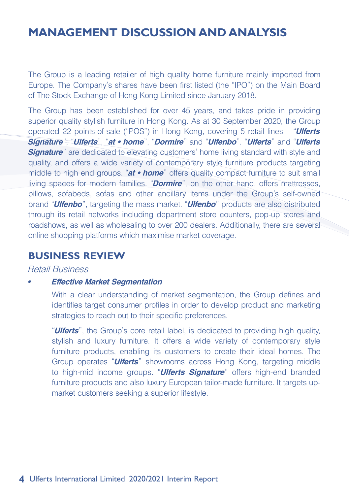The Group is a leading retailer of high quality home furniture mainly imported from Europe. The Company's shares have been first listed (the "IPO") on the Main Board of The Stock Exchange of Hong Kong Limited since January 2018.

The Group has been established for over 45 years, and takes pride in providing superior quality stylish furniture in Hong Kong. As at 30 September 2020, the Group operated 22 points-of-sale ("POS") in Hong Kong, covering 5 retail lines – "**Ulferts Signature**", "**Ulferts**", "**at • home**", "**Dormire**" and "**Ulfenbo**". "**Ulferts**" and "**Ulferts Signature**" are dedicated to elevating customers' home living standard with style and quality, and offers a wide variety of contemporary style furniture products targeting middle to high end groups. "**at • home**" offers quality compact furniture to suit small living spaces for modern families. "**Dormire**", on the other hand, offers mattresses, pillows, sofabeds, sofas and other ancillary items under the Group's self-owned brand "**Ulfenbo**", targeting the mass market. "**Ulfenbo**" products are also distributed through its retail networks including department store counters, pop-up stores and roadshows, as well as wholesaling to over 200 dealers. Additionally, there are several online shopping platforms which maximise market coverage.

#### **BUSINESS REVIEW**

#### Retail Business

#### **• Effective Market Segmentation**

With a clear understanding of market segmentation, the Group defines and identifies target consumer profiles in order to develop product and marketing strategies to reach out to their specific preferences.

"**Ulferts**", the Group's core retail label, is dedicated to providing high quality, stylish and luxury furniture. It offers a wide variety of contemporary style furniture products, enabling its customers to create their ideal homes. The Group operates "**Ulferts**" showrooms across Hong Kong, targeting middle to high-mid income groups. "**Ulferts Signature**" offers high-end branded furniture products and also luxury European tailor-made furniture. It targets upmarket customers seeking a superior lifestyle.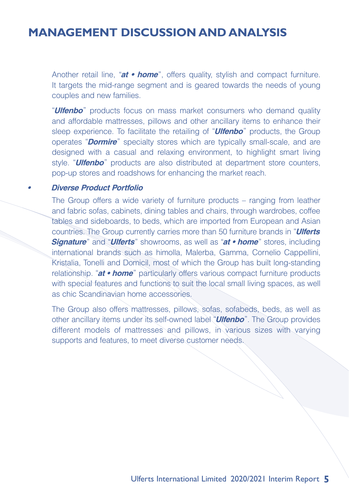Another retail line, "**at • home**", offers quality, stylish and compact furniture. It targets the mid-range segment and is geared towards the needs of young couples and new families.

"**Ulfenbo**" products focus on mass market consumers who demand quality and affordable mattresses, pillows and other ancillary items to enhance their sleep experience. To facilitate the retailing of "**Ulfenbo**" products, the Group operates "**Dormire**" specialty stores which are typically small-scale, and are designed with a casual and relaxing environment, to highlight smart living style. "**Ulfenbo**" products are also distributed at department store counters, pop-up stores and roadshows for enhancing the market reach.

#### **• Diverse Product Portfolio**

The Group offers a wide variety of furniture products – ranging from leather and fabric sofas, cabinets, dining tables and chairs, through wardrobes, coffee tables and sideboards, to beds, which are imported from European and Asian countries. The Group currently carries more than 50 furniture brands in "**Ulferts Signature**" and "**Ulferts**" showrooms, as well as "**at • home**" stores, including international brands such as himolla, Malerba, Gamma, Cornelio Cappellini, Kristalia, Tonelli and Domicil, most of which the Group has built long-standing relationship. "**at • home**" particularly offers various compact furniture products with special features and functions to suit the local small living spaces, as well as chic Scandinavian home accessories.

The Group also offers mattresses, pillows, sofas, sofabeds, beds, as well as other ancillary items under its self-owned label "**Ulfenbo**". The Group provides different models of mattresses and pillows, in various sizes with varying supports and features, to meet diverse customer needs.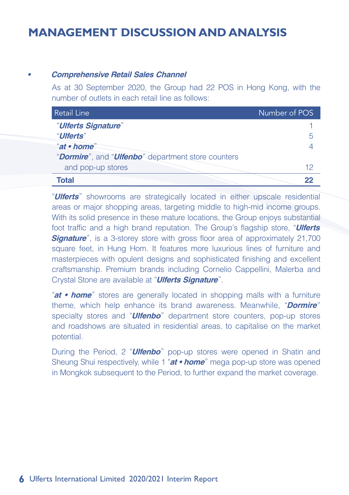#### **• Comprehensive Retail Sales Channel**

As at 30 September 2020, the Group had 22 POS in Hong Kong, with the number of outlets in each retail line as follows:

| Retail Line                                                          | Number of POS |
|----------------------------------------------------------------------|---------------|
| "Ulferts Signature"                                                  |               |
| "Ulferts"                                                            | 5             |
| "at • home"                                                          |               |
| " <b>Dormire</b> ", and " <b>Ulfenbo</b> " department store counters |               |
| and pop-up stores                                                    | 12            |
| Total                                                                | 22            |

"**Ulferts**" showrooms are strategically located in either upscale residential areas or major shopping areas, targeting middle to high-mid income groups. With its solid presence in these mature locations, the Group enjoys substantial foot traffic and a high brand reputation. The Group's flagship store, "**Ulferts Signature**", is a 3-storey store with gross floor area of approximately 21,700 square feet, in Hung Hom. It features more luxurious lines of furniture and masterpieces with opulent designs and sophisticated finishing and excellent craftsmanship. Premium brands including Cornelio Cappellini, Malerba and Crystal Stone are available at "**Ulferts Signature**".

"**at • home**" stores are generally located in shopping malls with a furniture theme, which help enhance its brand awareness. Meanwhile, "**Dormire**" specialty stores and "**Ulfenbo**" department store counters, pop-up stores and roadshows are situated in residential areas, to capitalise on the market potential.

During the Period, 2 "**Ulfenbo**" pop-up stores were opened in Shatin and Sheung Shui respectively, while 1 "**at • home**" mega pop-up store was opened in Mongkok subsequent to the Period, to further expand the market coverage.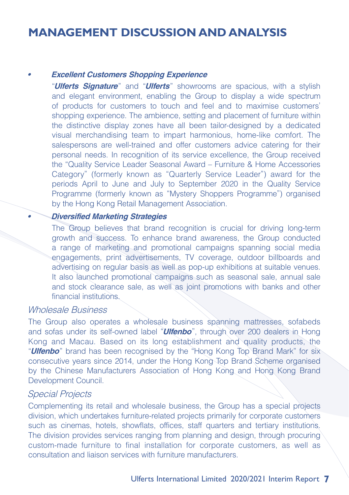#### **• Excellent Customers Shopping Experience**

"**Ulferts Signature**" and "**Ulferts**" showrooms are spacious, with a stylish and elegant environment, enabling the Group to display a wide spectrum of products for customers to touch and feel and to maximise customers' shopping experience. The ambience, setting and placement of furniture within the distinctive display zones have all been tailor-designed by a dedicated visual merchandising team to impart harmonious, home-like comfort. The salespersons are well-trained and offer customers advice catering for their personal needs. In recognition of its service excellence, the Group received the "Quality Service Leader Seasonal Award – Furniture & Home Accessories Category" (formerly known as "Quarterly Service Leader") award for the periods April to June and July to September 2020 in the Quality Service Programme (formerly known as "Mystery Shoppers Programme") organised by the Hong Kong Retail Management Association.

#### **• Diversified Marketing Strategies**

The Group believes that brand recognition is crucial for driving long-term growth and success. To enhance brand awareness, the Group conducted a range of marketing and promotional campaigns spanning social media engagements, print advertisements, TV coverage, outdoor billboards and advertising on regular basis as well as pop-up exhibitions at suitable venues. It also launched promotional campaigns such as seasonal sale, annual sale and stock clearance sale, as well as joint promotions with banks and other financial institutions.

#### Wholesale Business

The Group also operates a wholesale business spanning mattresses, sofabeds and sofas under its self-owned label "**Ulfenbo**", through over 200 dealers in Hong Kong and Macau. Based on its long establishment and quality products, the "**Ulfenbo**" brand has been recognised by the "Hong Kong Top Brand Mark" for six consecutive years since 2014, under the Hong Kong Top Brand Scheme organised by the Chinese Manufacturers Association of Hong Kong and Hong Kong Brand Development Council.

#### Special Projects

Complementing its retail and wholesale business, the Group has a special projects division, which undertakes furniture-related projects primarily for corporate customers such as cinemas, hotels, showflats, offices, staff quarters and tertiary institutions. The division provides services ranging from planning and design, through procuring custom-made furniture to final installation for corporate customers, as well as consultation and liaison services with furniture manufacturers.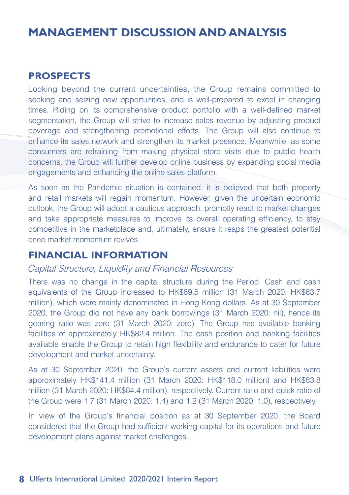#### **PROSPECTS**

Looking beyond the current uncertainties, the Group remains committed to seeking and seizing new opportunities, and is well-prepared to excel in changing times. Riding on its comprehensive product portfolio with a well-defined market segmentation, the Group will strive to increase sales revenue by adjusting product coverage and strengthening promotional efforts. The Group will also continue to enhance its sales network and strengthen its market presence. Meanwhile, as some consumers are refraining from making physical store visits due to public health concerns, the Group will further develop online business by expanding social media engagements and enhancing the online sales platform.

As soon as the Pandemic situation is contained, it is believed that both property and retail markets will regain momentum. However, given the uncertain economic outlook, the Group will adopt a cautious approach, promptly react to market changes and take appropriate measures to improve its overall operating efficiency, to stay competitive in the marketplace and, ultimately, ensure it reaps the greatest potential once market momentum revives.

#### **FINANCIAL INFORMATION**

#### Capital Structure, Liquidity and Financial Resources

There was no change in the capital structure during the Period. Cash and cash equivalents of the Group increased to HK\$89.5 million (31 March 2020: HK\$63.7 million), which were mainly denominated in Hong Kong dollars. As at 30 September 2020, the Group did not have any bank borrowings (31 March 2020: nil), hence its gearing ratio was zero (31 March 2020: zero). The Group has available banking facilities of approximately HK\$82.4 million. The cash position and banking facilities available enable the Group to retain high flexibility and endurance to cater for future development and market uncertainty.

As at 30 September 2020, the Group's current assets and current liabilities were approximately HK\$141.4 million (31 March 2020: HK\$118.0 million) and HK\$83.8 million (31 March 2020: HK\$84.4 million), respectively. Current ratio and quick ratio of the Group were 1.7 (31 March 2020: 1.4) and 1.2 (31 March 2020: 1.0), respectively.

In view of the Group's financial position as at 30 September 2020, the Board considered that the Group had sufficient working capital for its operations and future development plans against market challenges.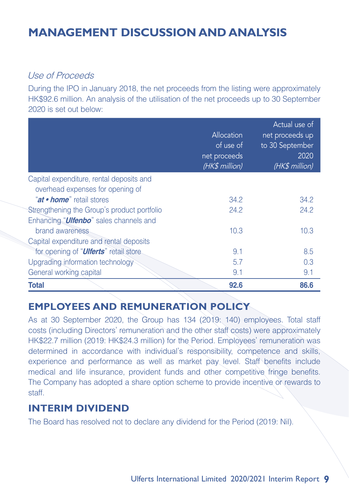#### Use of Proceeds

During the IPO in January 2018, the net proceeds from the listing were approximately HK\$92.6 million. An analysis of the utilisation of the net proceeds up to 30 September 2020 is set out below:

|                                                 | Allocation<br>of use of<br>net proceeds<br>(HK\$ million) | Actual use of<br>net proceeds up<br>to 30 September<br>2020<br>(HK\$ million) |
|-------------------------------------------------|-----------------------------------------------------------|-------------------------------------------------------------------------------|
| Capital expenditure, rental deposits and        |                                                           |                                                                               |
| overhead expenses for opening of                |                                                           |                                                                               |
| "at • home" retail stores                       | 34.2                                                      | 34.2                                                                          |
| Strengthening the Group's product portfolio     | 24.2                                                      | 24.2                                                                          |
| Enhancing " <b>Ulfenbo</b> " sales channels and |                                                           |                                                                               |
| brand awareness                                 | 10.3                                                      | 10.3                                                                          |
| Capital expenditure and rental deposits         |                                                           |                                                                               |
| for opening of " <b>Ulferts</b> " retail store  | 9.1                                                       | 8.5                                                                           |
| Upgrading information technology                | 5.7                                                       | 0.3                                                                           |
| General working capital                         | 9.1                                                       | 9.1                                                                           |
| <b>Total</b>                                    | 92.6                                                      | 86.6                                                                          |

### **EMPLOYEES AND REMUNERATION POLICY**

As at 30 September 2020, the Group has 134 (2019: 140) employees. Total staff costs (including Directors' remuneration and the other staff costs) were approximately HK\$22.7 million (2019: HK\$24.3 million) for the Period. Employees' remuneration was determined in accordance with individual's responsibility, competence and skills, experience and performance as well as market pay level. Staff benefits include medical and life insurance, provident funds and other competitive fringe benefits. The Company has adopted a share option scheme to provide incentive or rewards to staff.

### **INTERIM DIVIDEND**

The Board has resolved not to declare any dividend for the Period (2019: Nil).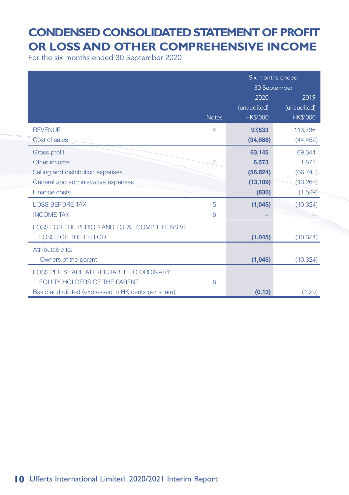# **CONDENSED CONSOLIDATED STATEMENT OF PROFIT OR LOSS AND OTHER COMPREHENSIVE INCOME**

For the six months ended 30 September 2020

|                                                                                                                                       |                | Six months ended<br>30 September          |                                          |  |
|---------------------------------------------------------------------------------------------------------------------------------------|----------------|-------------------------------------------|------------------------------------------|--|
|                                                                                                                                       | <b>Notes</b>   | 2020<br>(unaudited)<br><b>HK\$'000</b>    | 2019<br>(unaudited)<br><b>HK\$'000</b>   |  |
| <b>REVENUE</b><br>Cost of sales                                                                                                       | $\overline{4}$ | 97,833<br>(34, 688)                       | 113,796<br>(44, 452)                     |  |
| <b>Gross profit</b><br>Other income<br>Selling and distribution expenses<br>General and administrative expenses                       | 4              | 63,145<br>6,573<br>(56, 824)<br>(13, 109) | 69,344<br>1,872<br>(66, 743)<br>(13,268) |  |
| Finance costs                                                                                                                         |                | (830)                                     | (1,529)                                  |  |
| <b>LOSS BEFORE TAX</b><br><b>INCOME TAX</b>                                                                                           | 5<br>6         | (1,045)                                   | (10, 324)                                |  |
| LOSS FOR THE PERIOD AND TOTAL COMPREHENSIVE<br><b>LOSS FOR THE PERIOD</b>                                                             |                | (1,045)                                   | (10, 324)                                |  |
| Attributable to:<br>Owners of the parent                                                                                              |                | (1,045)                                   | (10, 324)                                |  |
| LOSS PER SHARE ATTRIBUTABLE TO ORDINARY<br><b>EQUITY HOLDERS OF THE PARENT</b><br>Basic and diluted (expressed in HK cents per share) | 8              | (0.13)                                    | (1.29)                                   |  |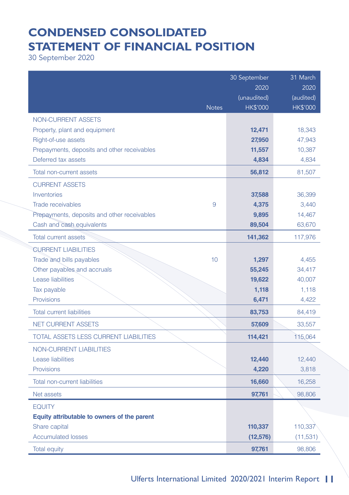# **CONDENSED CONSOLIDATED STATEMENT OF FINANCIAL POSITION**

30 September 2020

|                                                                    |              | 30 September     | 31 March         |
|--------------------------------------------------------------------|--------------|------------------|------------------|
|                                                                    |              | 2020             | 2020             |
|                                                                    |              | (unaudited)      | (audited)        |
|                                                                    | <b>Notes</b> | <b>HK\$'000</b>  | <b>HK\$'000</b>  |
| NON-CURRENT ASSETS                                                 |              |                  |                  |
| Property, plant and equipment                                      |              | 12,471           | 18,343           |
| Right-of-use assets<br>Prepayments, deposits and other receivables |              | 27,950<br>11,557 | 47,943<br>10,387 |
| Deferred tax assets                                                |              | 4,834            | 4,834            |
| Total non-current assets                                           |              | 56,812           | 81,507           |
| <b>CURRENT ASSETS</b>                                              |              |                  |                  |
| Inventories                                                        |              | 37,588           | 36,399           |
| Trade receivables                                                  | 9            | 4,375            | 3,440            |
| Prepayments, deposits and other receivables                        |              | 9,895            | 14,467           |
| Cash and cash equivalents                                          |              | 89,504           | 63,670           |
| <b>Total current assets</b>                                        |              | 141,362          | 117,976          |
| <b>CURRENT LIABILITIES</b>                                         |              |                  |                  |
| Trade and bills payables                                           | 10           | 1,297            | 4,455            |
| Other payables and accruals                                        |              | 55,245           | 34,417           |
| Lease liabilities                                                  |              | 19,622           | 40,007           |
| Tax payable                                                        |              | 1,118            | 1,118            |
| Provisions                                                         |              | 6,471            | 4,422            |
| <b>Total current liabilities</b>                                   |              | 83,753           | 84,419           |
| <b>NET CURRENT ASSETS</b>                                          |              | 57,609           | 33,557           |
| <b>TOTAL ASSETS LESS CURRENT LIABILITIES</b>                       |              | 114,421          | 115,064          |
| <b>NON-CURRENT LIABILITIES</b>                                     |              |                  |                  |
| Lease liabilities                                                  |              | 12,440           | 12,440           |
| Provisions                                                         |              | 4,220            | 3,818            |
| <b>Total non-current liabilities</b>                               |              | 16,660           | 16,258           |
| Net assets                                                         |              | 97,761           | 98,806           |
| <b>EQUITY</b>                                                      |              |                  |                  |
| Equity attributable to owners of the parent                        |              |                  |                  |
| Share capital                                                      |              | 110,337          | 110,337          |
| <b>Accumulated losses</b>                                          |              | (12, 576)        | (11, 531)        |
| <b>Total equity</b>                                                |              | 97.761           | 98.806           |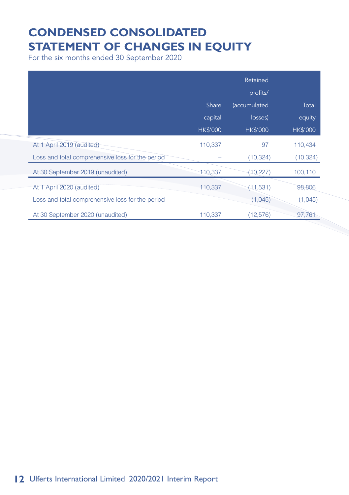# **CONDENSED CONSOLIDATED STATEMENT OF CHANGES IN EQUITY**

For the six months ended 30 September 2020

|                                                  |                 | Retained                        |                 |
|--------------------------------------------------|-----------------|---------------------------------|-----------------|
|                                                  | Share           | profits/<br><i>(accumulated</i> | Total           |
|                                                  | capital         | losses)                         | equity          |
|                                                  | <b>HK\$'000</b> | <b>HK\$'000</b>                 | <b>HK\$'000</b> |
| At 1 April 2019 (audited)                        | 110,337         | 97                              | 110,434         |
| Loss and total comprehensive loss for the period |                 | (10, 324)                       | (10, 324)       |
| At 30 September 2019 (unaudited)                 | 110,337         | (10,227)                        | 100,110         |
| At 1 April 2020 (audited)                        | 110,337         | (11, 531)                       | 98,806          |
| Loss and total comprehensive loss for the period |                 | (1,045)                         | (1,045)         |
| At 30 September 2020 (unaudited)                 | 110,337         | (12, 576)                       | 97,761          |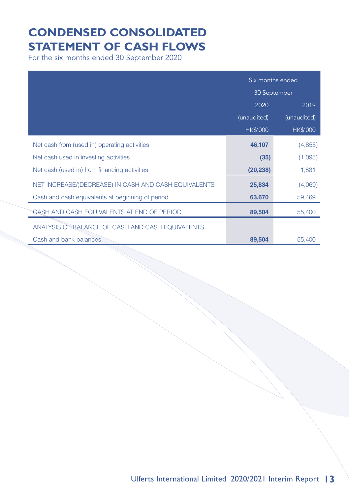# **CONDENSED CONSOLIDATED STATEMENT OF CASH FLOWS**

For the six months ended 30 September 2020

|                                                      | Six months ended |                 |
|------------------------------------------------------|------------------|-----------------|
|                                                      | 30 September     |                 |
|                                                      | 2020             | 2019            |
|                                                      | (unaudited)      | (unaudited)     |
|                                                      | <b>HK\$'000</b>  | <b>HK\$'000</b> |
| Net cash from (used in) operating activities         | 46,107           | (4,855)         |
| Net cash used in investing activities                | (35)             | (1,095)         |
| Net cash (used in) from financing activities         | (20, 238)        | 1,881           |
| NET INCREASE/(DECREASE) IN CASH AND CASH EQUIVALENTS | 25,834           | (4,069)         |
| Cash and cash equivalents at beginning of period     | 63,670           | 59,469          |
| <b>GASH AND CASH EQUIVALENTS AT END OF PERIOD</b>    | 89,504           | 55,400          |
| ANALYSIS OF BALANCE OF CASH AND CASH EQUIVALENTS     |                  |                 |
| Cash and bank balances                               | 89,504           | 55,400          |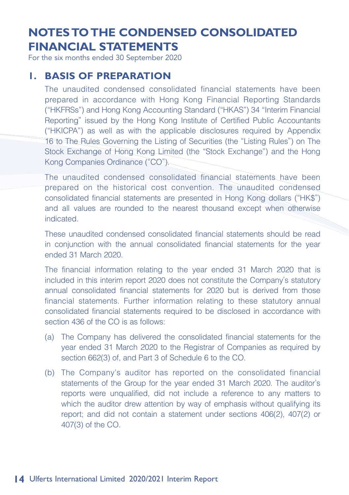For the six months ended 30 September 2020

#### **1. BASIS OF PREPARATION**

The unaudited condensed consolidated financial statements have been prepared in accordance with Hong Kong Financial Reporting Standards ("HKFRSs") and Hong Kong Accounting Standard ("HKAS") 34 "Interim Financial Reporting" issued by the Hong Kong Institute of Certified Public Accountants ("HKICPA") as well as with the applicable disclosures required by Appendix 16 to The Rules Governing the Listing of Securities (the "Listing Rules") on The Stock Exchange of Hong Kong Limited (the "Stock Exchange") and the Hong Kong Companies Ordinance ("CO").

The unaudited condensed consolidated financial statements have been prepared on the historical cost convention. The unaudited condensed consolidated financial statements are presented in Hong Kong dollars ("HK\$") and all values are rounded to the nearest thousand except when otherwise indicated.

These unaudited condensed consolidated financial statements should be read in conjunction with the annual consolidated financial statements for the year ended 31 March 2020.

The financial information relating to the year ended 31 March 2020 that is included in this interim report 2020 does not constitute the Company's statutory annual consolidated financial statements for 2020 but is derived from those financial statements. Further information relating to these statutory annual consolidated financial statements required to be disclosed in accordance with section 436 of the CO is as follows:

- (a) The Company has delivered the consolidated financial statements for the year ended 31 March 2020 to the Registrar of Companies as required by section 662(3) of, and Part 3 of Schedule 6 to the CO.
- (b) The Company's auditor has reported on the consolidated financial statements of the Group for the year ended 31 March 2020. The auditor's reports were unqualified, did not include a reference to any matters to which the auditor drew attention by way of emphasis without qualifying its report; and did not contain a statement under sections 406(2), 407(2) or 407(3) of the CO.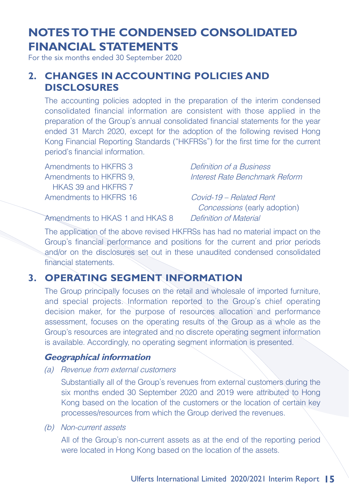For the six months ended 30 September 2020

#### **2. CHANGES IN ACCOUNTING POLICIES AND DISCLOSURES**

The accounting policies adopted in the preparation of the interim condensed consolidated financial information are consistent with those applied in the preparation of the Group's annual consolidated financial statements for the year ended 31 March 2020, except for the adoption of the following revised Hong Kong Financial Reporting Standards ("HKFRSs") for the first time for the current period's financial information.

Amendments to HKFRS 3 Definition of a Business Amendments to HKFRS 9, HKAS 39 and HKFRS 7 Amendments to HKFRS 16 Covid-19 – Related Rent

Interest Rate Benchmark Reform

Concessions (early adoption)

Amendments to HKAS 1 and HKAS 8 Definition of Material

The application of the above revised HKFRSs has had no material impact on the Group's financial performance and positions for the current and prior periods and/or on the disclosures set out in these unaudited condensed consolidated financial statements.

### **3. OPERATING SEGMENT INFORMATION**

The Group principally focuses on the retail and wholesale of imported furniture, and special projects. Information reported to the Group's chief operating decision maker, for the purpose of resources allocation and performance assessment, focuses on the operating results of the Group as a whole as the Group's resources are integrated and no discrete operating segment information is available. Accordingly, no operating segment information is presented.

#### **Geographical information**

(a) Revenue from external customers

Substantially all of the Group's revenues from external customers during the six months ended 30 September 2020 and 2019 were attributed to Hong Kong based on the location of the customers or the location of certain key processes/resources from which the Group derived the revenues.

(b) Non-current assets

All of the Group's non-current assets as at the end of the reporting period were located in Hong Kong based on the location of the assets.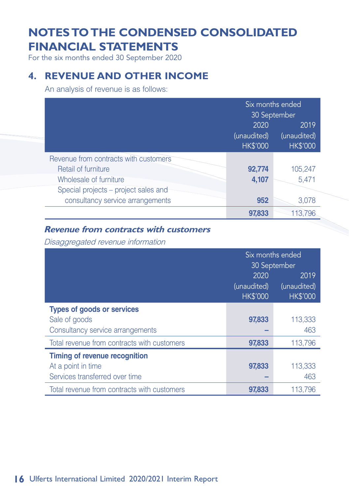For the six months ended 30 September 2020

### **4. REVENUE AND OTHER INCOME**

An analysis of revenue is as follows:

|                                       | Six months ended<br>30 September       |                                        |
|---------------------------------------|----------------------------------------|----------------------------------------|
|                                       | 2020<br>(unaudited)<br><b>HK\$'000</b> | 2019<br>(unaudited)<br><b>HK\$'000</b> |
| Revenue from contracts with customers |                                        |                                        |
| Retail of furniture                   | 92,774                                 | 105,247                                |
| Wholesale of furniture                | 4,107                                  | 5,471                                  |
| Special projects – project sales and  |                                        |                                        |
| consultancy service arrangements      | 952                                    | 3,078                                  |
|                                       | 97,833                                 | 113,796                                |

### **Revenue from contracts with customers**

Disaggregated revenue information

|                                             | Six months ended<br>30 September       |                                        |
|---------------------------------------------|----------------------------------------|----------------------------------------|
|                                             | 2020<br>(unaudited)<br><b>HK\$'000</b> | 2019<br>(unaudited)<br><b>HK\$'000</b> |
| <b>Types of goods or services</b>           |                                        |                                        |
| Sale of goods                               | 97,833                                 | 113,333                                |
| Consultancy service arrangements            |                                        | 463                                    |
| Total revenue from contracts with customers | 97,833                                 | 113,796                                |
| <b>Timing of revenue recognition</b>        |                                        |                                        |
| At a point in time                          | 97,833                                 | 113,333                                |
| Services transferred over time              |                                        | 463                                    |
| Total revenue from contracts with customers | 97.833                                 | 113,796                                |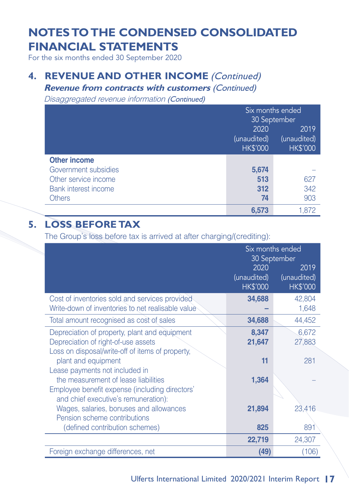For the six months ended 30 September 2020

### **4. REVENUE AND OTHER INCOME** (Continued)

**Revenue from contracts with customers** (Continued)

Disaggregated revenue information (Continued)

|                      | Six months ended<br>30 September       |                                        |
|----------------------|----------------------------------------|----------------------------------------|
|                      | 2020<br>(unaudited)<br><b>HK\$'000</b> | 2019<br>(unaudited)<br><b>HK\$'000</b> |
| <b>Other income</b>  |                                        |                                        |
| Government subsidies | 5,674                                  |                                        |
| Other service income | 513                                    | 627                                    |
| Bank interest income | 312                                    | 342                                    |
| <b>Others</b>        | 74                                     | 903                                    |
|                      | 6,573                                  | 1.872                                  |

### **5. LOSS BEFORE TAX**

The Group's loss before tax is arrived at after charging/(crediting):

|                                                                                                                                          | Six months ended<br>30 September       |                                        |
|------------------------------------------------------------------------------------------------------------------------------------------|----------------------------------------|----------------------------------------|
|                                                                                                                                          | 2020<br>(unaudited)<br><b>HK\$'000</b> | 2019<br>(unaudited)<br><b>HK\$'000</b> |
| Cost of inventories sold and services provided<br>Write-down of inventories to net realisable value                                      | 34,688                                 | 42,804<br>1,648                        |
| Total amount recognised as cost of sales                                                                                                 | 34,688                                 | 44,452                                 |
| Depreciation of property, plant and equipment<br>Depreciation of right-of-use assets<br>Loss on disposal/write-off of items of property, | 8,347<br>21,647                        | 6,672<br>27,883                        |
| plant and equipment<br>Lease payments not included in                                                                                    | 11                                     | 281                                    |
| the measurement of lease liabilities<br>Employee benefit expense (including directors'<br>and chief executive's remuneration):           | 1,364                                  |                                        |
| Wages, salaries, bonuses and allowances                                                                                                  | 21,894                                 | 23,416                                 |
| Pension scheme contributions<br>(defined contribution schemes)                                                                           | 825                                    | 891                                    |
|                                                                                                                                          | 22,719                                 | 24,307                                 |
| Foreign exchange differences, net                                                                                                        | (49)                                   | (106)                                  |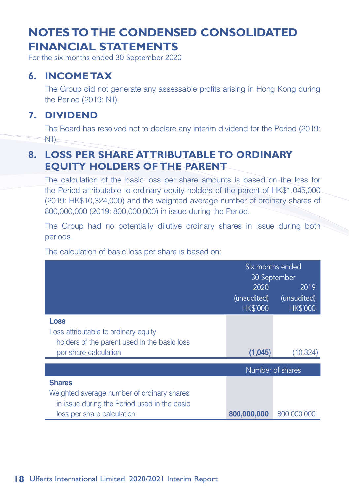For the six months ended 30 September 2020

### **6. INCOME TAX**

The Group did not generate any assessable profits arising in Hong Kong during the Period (2019: Nil).

#### **7. DIVIDEND**

The Board has resolved not to declare any interim dividend for the Period (2019: Nil).

### **8. LOSS PER SHARE ATTRIBUTABLE TO ORDINARY EQUITY HOLDERS OF THE PARENT**

The calculation of the basic loss per share amounts is based on the loss for the Period attributable to ordinary equity holders of the parent of HK\$1,045,000 (2019: HK\$10,324,000) and the weighted average number of ordinary shares of 800,000,000 (2019: 800,000,000) in issue during the Period.

The Group had no potentially dilutive ordinary shares in issue during both periods.

The calculation of basic loss per share is based on:

|                                              | Six months ended<br>30 September       |                                        |
|----------------------------------------------|----------------------------------------|----------------------------------------|
|                                              | 2020<br>(unaudited)<br><b>HK\$'000</b> | 2019<br>(unaudited)<br><b>HK\$'000</b> |
| Loss                                         |                                        |                                        |
| Loss attributable to ordinary equity         |                                        |                                        |
| holders of the parent used in the basic loss |                                        |                                        |
| per share calculation                        | (1,045)                                | (10,324)                               |
|                                              | Number of shares                       |                                        |
| <b>Shares</b>                                |                                        |                                        |
| Weighted average number of ordinary shares   |                                        |                                        |
| in issue during the Period used in the basic |                                        |                                        |
| loss per share calculation                   | 800,000,000                            | 800,000,000                            |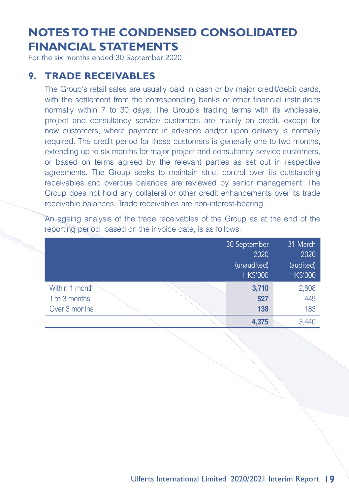For the six months ended 30 September 2020

#### **9. TRADE RECEIVABLES**

The Group's retail sales are usually paid in cash or by major credit/debit cards, with the settlement from the corresponding banks or other financial institutions normally within 7 to 30 days. The Group's trading terms with its wholesale, project and consultancy service customers are mainly on credit, except for new customers, where payment in advance and/or upon delivery is normally required. The credit period for these customers is generally one to two months, extending up to six months for major project and consultancy service customers, or based on terms agreed by the relevant parties as set out in respective agreements. The Group seeks to maintain strict control over its outstanding receivables and overdue balances are reviewed by senior management. The Group does not hold any collateral or other credit enhancements over its trade receivable balances. Trade receivables are non-interest-bearing.

An ageing analysis of the trade receivables of the Group as at the end of the reporting period, based on the invoice date, is as follows:

|                | 30 September    | 31 March        |
|----------------|-----------------|-----------------|
|                | 2020            | 2020            |
|                | (unaudited)     | (audited)       |
|                | <b>HK\$'000</b> | <b>HK\$'000</b> |
| Within 1 month | 3,710           | 2,808           |
| 1 to 3 months  | 527             | 449             |
| Over 3 months  | 138             | 183             |
|                | 4,375           | 3,440           |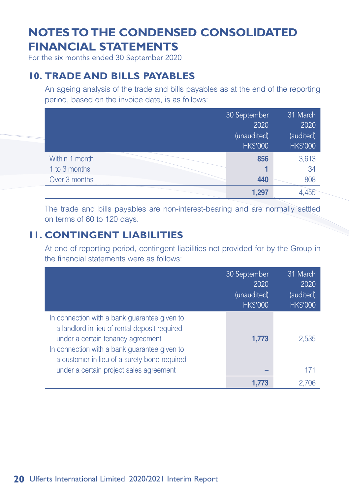For the six months ended 30 September 2020

### **10. TRADE AND BILLS PAYABLES**

An ageing analysis of the trade and bills payables as at the end of the reporting period, based on the invoice date, is as follows:

|                | 30 September<br>2020<br>(unaudited)<br><b>HK\$'000</b> | 31 March<br>2020<br>(audited)<br><b>HK\$'000</b> |
|----------------|--------------------------------------------------------|--------------------------------------------------|
| Within 1 month | 856                                                    | 3,613                                            |
| 1 to 3 months  |                                                        | 34                                               |
| Over 3 months  | 440                                                    | 808                                              |
|                | 1,297                                                  | 455                                              |

The trade and bills payables are non-interest-bearing and are normally settled on terms of 60 to 120 days.

#### **11. CONTINGENT LIABILITIES**

At end of reporting period, contingent liabilities not provided for by the Group in the financial statements were as follows:

|                                                                                                                                                                                                                                    | 30 September<br>2020<br>(unaudited)<br><b>HK\$'000</b> | 31 March<br>2020<br>(audited)<br><b>HK\$'000</b> |
|------------------------------------------------------------------------------------------------------------------------------------------------------------------------------------------------------------------------------------|--------------------------------------------------------|--------------------------------------------------|
| In connection with a bank guarantee given to<br>a landlord in lieu of rental deposit required<br>under a certain tenancy agreement<br>In connection with a bank guarantee given to<br>a customer in lieu of a surety bond required | 1,773                                                  | 2.535                                            |
| under a certain project sales agreement                                                                                                                                                                                            |                                                        | 171                                              |
|                                                                                                                                                                                                                                    |                                                        | 2.706                                            |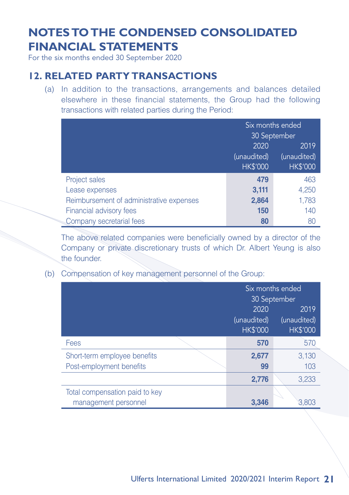For the six months ended 30 September 2020

### **12. RELATED PARTY TRANSACTIONS**

(a) In addition to the transactions, arrangements and balances detailed elsewhere in these financial statements, the Group had the following transactions with related parties during the Period:

|                                          | Six months ended |                 |
|------------------------------------------|------------------|-----------------|
|                                          | 30 September     |                 |
|                                          | 2020             | 2019            |
|                                          | (unaudited)      | (unaudited)     |
|                                          | <b>HK\$'000</b>  | <b>HK\$'000</b> |
| Project sales                            | 479              | 463             |
| Lease expenses                           | 3,111            | 4,250           |
| Reimbursement of administrative expenses | 2,864            | 1,783           |
| Financial advisory fees                  | 150              | 140             |
| Company secretarial fees                 | 80               | 80              |

The above related companies were beneficially owned by a director of the Company or private discretionary trusts of which Dr. Albert Yeung is also the founder.

(b) Compensation of key management personnel of the Group:

|                                | Six months ended<br>30 September       |                                        |
|--------------------------------|----------------------------------------|----------------------------------------|
|                                | 2020<br>(unaudited)<br><b>HK\$'000</b> | 2019<br>(unaudited)<br><b>HK\$'000</b> |
| Fees                           | 570                                    | 570                                    |
| Short-term employee benefits   | 2,677                                  | 3,130                                  |
| Post-employment benefits       | 99                                     | 103                                    |
|                                | 2,776                                  | 3,233                                  |
| Total compensation paid to key |                                        |                                        |
| management personnel           | 3.346                                  | 3.803                                  |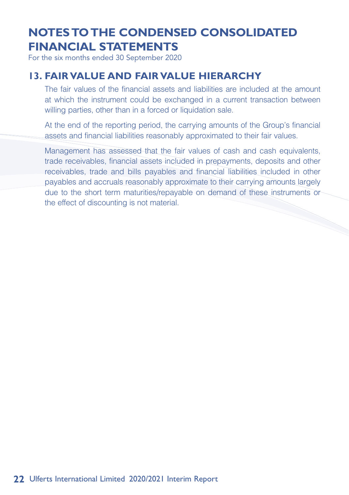For the six months ended 30 September 2020

### **13. FAIR VALUE AND FAIR VALUE HIERARCHY**

The fair values of the financial assets and liabilities are included at the amount at which the instrument could be exchanged in a current transaction between willing parties, other than in a forced or liquidation sale.

At the end of the reporting period, the carrying amounts of the Group's financial assets and financial liabilities reasonably approximated to their fair values.

Management has assessed that the fair values of cash and cash equivalents, trade receivables, financial assets included in prepayments, deposits and other receivables, trade and bills payables and financial liabilities included in other payables and accruals reasonably approximate to their carrying amounts largely due to the short term maturities/repayable on demand of these instruments or the effect of discounting is not material.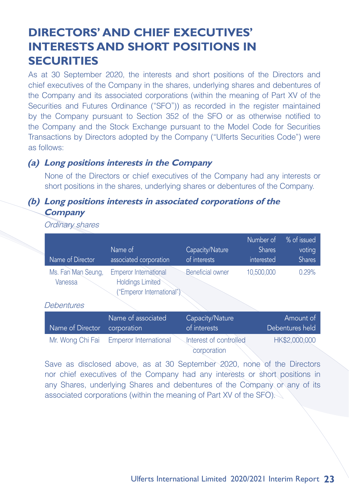# **DIRECTORS' AND CHIEF EXECUTIVES' INTERESTS AND SHORT POSITIONS IN SECURITIES**

As at 30 September 2020, the interests and short positions of the Directors and chief executives of the Company in the shares, underlying shares and debentures of the Company and its associated corporations (within the meaning of Part XV of the Securities and Futures Ordinance ("SFO")) as recorded in the register maintained by the Company pursuant to Section 352 of the SFO or as otherwise notified to the Company and the Stock Exchange pursuant to the Model Code for Securities Transactions by Directors adopted by the Company ("Ulferts Securities Code") were as follows:

#### **(a) Long positions interests in the Company**

None of the Directors or chief executives of the Company had any interests or short positions in the shares, underlying shares or debentures of the Company.

#### **(b) Long positions interests in associated corporations of the Company**

Ordinary shares

| Name of Director              | Name of<br>associated corporation                                             | Capacity/Nature<br>of interests       | Number of<br><b>Shares</b><br>interested | % of issued<br>voting<br><b>Shares</b> |
|-------------------------------|-------------------------------------------------------------------------------|---------------------------------------|------------------------------------------|----------------------------------------|
| Ms. Fan Man Seung,<br>Vanessa | <b>Emperor International</b><br>Holdings Limited<br>("Emperor International") | <b>Beneficial owner</b>               | 10,500,000                               | 0.29%                                  |
| <b>Debentures</b>             |                                                                               |                                       |                                          |                                        |
| Name of Director              | Name of associated<br>corporation                                             | Capacity/Nature<br>of interests       |                                          | Amount of<br>Debentures held           |
| Mr. Wong Chi Fai              | <b>Emperor International</b>                                                  | Interest of controlled<br>corporation |                                          | HK\$2,000,000                          |

Save as disclosed above, as at 30 September 2020, none of the Directors nor chief executives of the Company had any interests or short positions in any Shares, underlying Shares and debentures of the Company or any of its associated corporations (within the meaning of Part XV of the SFO).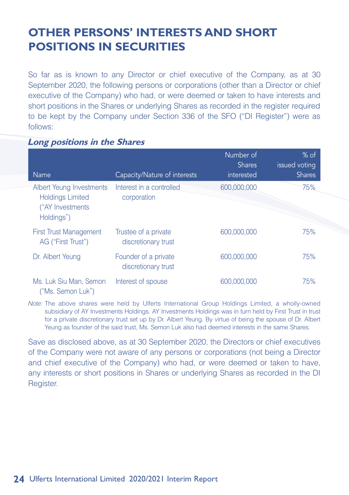# **OTHER PERSONS' INTERESTS AND SHORT POSITIONS IN SECURITIES**

So far as is known to any Director or chief executive of the Company, as at 30 September 2020, the following persons or corporations (other than a Director or chief executive of the Company) who had, or were deemed or taken to have interests and short positions in the Shares or underlying Shares as recorded in the register required to be kept by the Company under Section 336 of the SFO ("DI Register") were as follows:

| Name                                                                                    | Capacity/Nature of interests                | Number of<br><b>Shares</b><br>interested | $%$ of<br>issued voting<br><b>Shares</b> |
|-----------------------------------------------------------------------------------------|---------------------------------------------|------------------------------------------|------------------------------------------|
| Albert Yeung Investments<br><b>Holdings Limited</b><br>("AY Investments")<br>Holdings") | Interest in a controlled<br>corporation     | 600.000.000                              | 75%                                      |
| <b>First Trust Management</b><br>AG ("First Trust")                                     | Trustee of a private<br>discretionary trust | 600.000.000                              | 75%                                      |
| Dr. Albert Yeung                                                                        | Founder of a private<br>discretionary trust | 600.000.000                              | 75%                                      |
| Ms. Luk Siu Man. Semon<br>("Ms. Semon Luk")                                             | Interest of spouse                          | 600,000,000                              | 75%                                      |

#### **Long positions in the Shares**

Note: The above shares were held by Ulferts International Group Holdings Limited, a wholly-owned subsidiary of AY Investments Holdings. AY Investments Holdings was in turn held by First Trust in trust for a private discretionary trust set up by Dr. Albert Yeung. By virtue of being the spouse of Dr. Albert Yeung as founder of the said trust, Ms. Semon Luk also had deemed interests in the same Shares.

Save as disclosed above, as at 30 September 2020, the Directors or chief executives of the Company were not aware of any persons or corporations (not being a Director and chief executive of the Company) who had, or were deemed or taken to have, any interests or short positions in Shares or underlying Shares as recorded in the DI Register.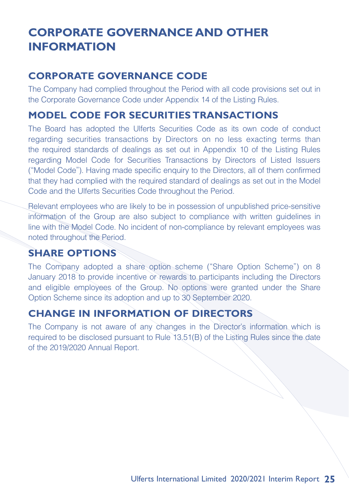# **CORPORATE GOVERNANCE AND OTHER INFORMATION**

### **CORPORATE GOVERNANCE CODE**

The Company had complied throughout the Period with all code provisions set out in the Corporate Governance Code under Appendix 14 of the Listing Rules.

### **MODEL CODE FOR SECURITIES TRANSACTIONS**

The Board has adopted the Ulferts Securities Code as its own code of conduct regarding securities transactions by Directors on no less exacting terms than the required standards of dealings as set out in Appendix 10 of the Listing Rules regarding Model Code for Securities Transactions by Directors of Listed Issuers ("Model Code"). Having made specific enquiry to the Directors, all of them confirmed that they had complied with the required standard of dealings as set out in the Model Code and the Ulferts Securities Code throughout the Period.

Relevant employees who are likely to be in possession of unpublished price-sensitive information of the Group are also subject to compliance with written guidelines in line with the Model Code. No incident of non-compliance by relevant employees was noted throughout the Period.

### **SHARE OPTIONS**

The Company adopted a share option scheme ("Share Option Scheme") on 8 January 2018 to provide incentive or rewards to participants including the Directors and eligible employees of the Group. No options were granted under the Share Option Scheme since its adoption and up to 30 September 2020.

### **CHANGE IN INFORMATION OF DIRECTORS**

The Company is not aware of any changes in the Director's information which is required to be disclosed pursuant to Rule 13.51(B) of the Listing Rules since the date of the 2019/2020 Annual Report.